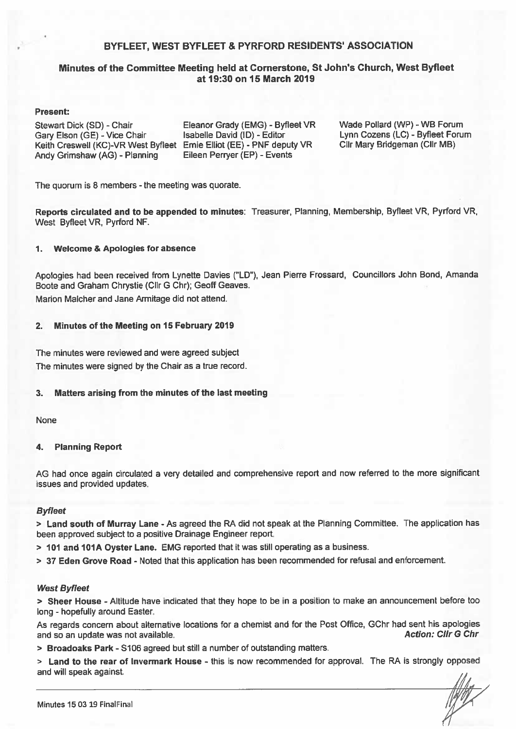### BYFLEET, WEST BYFLEET & PYRFORD RESIDENTS' ASSOCIATION

### Minutes of the Committee Meeting held at Cornerstone, St John's Church, West Byfleet at 19:30 on 15 March 2019

#### **Present:**

Stewart Dick (SD) - Chair Gary Elson (GE) - Vice Chair Keith Creswell (KC)-VR West Byfleet Ernie Elliot (EE) - PNF deputy VR Andy Grimshaw (AG) - Planning

Eleanor Grady (EMG) - Byfleet VR Isabelle David (ID) - Editor Eileen Perryer (EP) - Events

Wade Pollard (WP) - WB Forum Lynn Cozens (LC) - Byfleet Forum Cllr Mary Bridgeman (Cllr MB)

The quorum is 8 members - the meeting was quorate.

Reports circulated and to be appended to minutes: Treasurer, Planning, Membership, Byfleet VR, Pyrford VR, West Byfleet VR, Pyrford NF.

#### $\mathbf 1$ . **Welcome & Apologies for absence**

Apologies had been received from Lynette Davies ("LD"), Jean Pierre Frossard, Councillors John Bond, Amanda Boote and Graham Chrystie (Cllr G Chr); Geoff Geaves.

Marion Malcher and Jane Armitage did not attend.

#### Minutes of the Meeting on 15 February 2019  $2.$

The minutes were reviewed and were agreed subject The minutes were signed by the Chair as a true record.

#### 3. Matters arising from the minutes of the last meeting

**None** 

#### **Planning Report** 4.

AG had once again circulated a very detailed and comprehensive report and now referred to the more significant issues and provided updates.

#### **Byfleet**

> Land south of Murray Lane - As agreed the RA did not speak at the Planning Committee. The application has been approved subject to a positive Drainage Engineer report.

> 101 and 101A Oyster Lane. EMG reported that it was still operating as a business.

> 37 Eden Grove Road - Noted that this application has been recommended for refusal and enforcement.

#### **West Byfleet**

> Sheer House - Altitude have indicated that they hope to be in a position to make an announcement before too long - hopefully around Easter.

As regards concern about alternative locations for a chemist and for the Post Office, GChr had sent his apologies **Action: Cllr G Chr** and so an update was not available.

> Broadoaks Park - S106 agreed but still a number of outstanding matters.

> Land to the rear of Invermark House - this is now recommended for approval. The RA is strongly opposed and will speak against.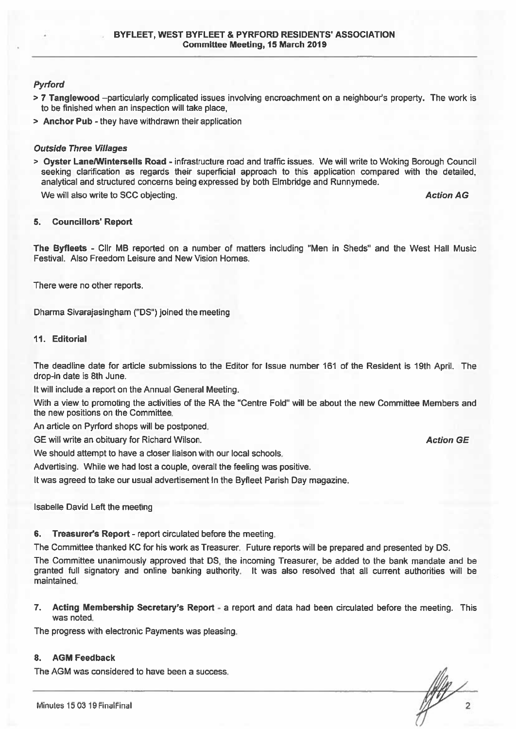### **Pvrford**

- > 7 Tanglewood –particularly complicated issues involving encroachment on a neighbour's property. The work is to be finished when an inspection will take place,
- > Anchor Pub they have withdrawn their application

#### **Outside Three Villages**

> Oyster Lane/Wintersells Road - infrastructure road and traffic issues. We will write to Woking Borough Council seeking clarification as regards their superficial approach to this application compared with the detailed, analytical and structured concerns being expressed by both Elmbridge and Runnymede.

We will also write to SCC objecting.

**Action AG** 

**Action GE** 

#### **Councillors' Report** 5.

The Byfleets - Cllr MB reported on a number of matters including "Men in Sheds" and the West Hall Music Festival. Also Freedom Leisure and New Vision Homes.

There were no other reports.

Dharma Sivarajasingham ("DS") joined the meeting

### 11. Editorial

The deadline date for article submissions to the Editor for Issue number 161 of the Resident is 19th April. The drop-in date is 8th June.

It will include a report on the Annual General Meeting.

With a view to promoting the activities of the RA the "Centre Fold" will be about the new Committee Members and the new positions on the Committee.

An article on Pyrford shops will be postponed.

GE will write an obituary for Richard Wilson.

We should attempt to have a closer liaison with our local schools.

Advertising. While we had lost a couple, overall the feeling was positive.

It was agreed to take our usual advertisement In the Byfleet Parish Day magazine.

Isabelle David Left the meeting

Treasurer's Report - report circulated before the meeting. 6.

The Committee thanked KC for his work as Treasurer. Future reports will be prepared and presented by DS.

The Committee unanimously approved that DS, the incoming Treasurer, be added to the bank mandate and be granted full signatory and online banking authority. It was also resolved that all current authorities will be maintained.

Acting Membership Secretary's Report - a report and data had been circulated before the meeting. This 7. was noted.

The progress with electronic Payments was pleasing.

#### 8. **AGM Feedback**

The AGM was considered to have been a success.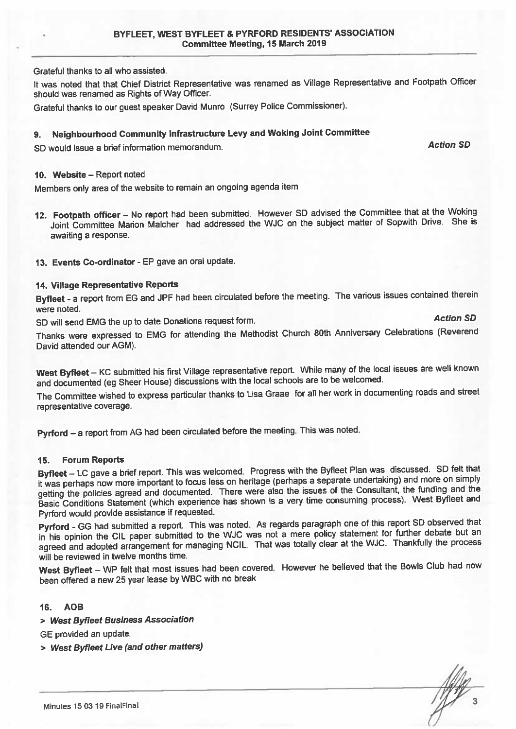Grateful thanks to all who assisted.

It was noted that that Chief District Representative was renamed as Village Representative and Footpath Officer should was renamed as Rights of Way Officer.

Grateful thanks to our quest speaker David Munro (Surrey Police Commissioner).

#### Neighbourhood Community Infrastructure Levy and Woking Joint Committee 9.

SD would issue a brief information memorandum.

#### 10. Website - Report noted

Members only area of the website to remain an ongoing agenda item

- 12. Footpath officer No report had been submitted. However SD advised the Committee that at the Woking Joint Committee Marion Malcher had addressed the WJC on the subject matter of Sopwith Drive. She is awaiting a response.
- 13. Events Co-ordinator EP gave an oral update.

### 14. Village Representative Reports

Byfleet - a report from EG and JPF had been circulated before the meeting. The various issues contained therein were noted.

SD will send EMG the up to date Donations request form.

**Action SD** 

**Action SD** 

Thanks were expressed to EMG for attending the Methodist Church 80th Anniversary Celebrations (Reverend David attended our AGM).

West Byfleet - KC submitted his first Village representative report. While many of the local issues are well known and documented (eg Sheer House) discussions with the local schools are to be welcomed.

The Committee wished to express particular thanks to Lisa Graae for all her work in documenting roads and street representative coverage.

Pyrford - a report from AG had been circulated before the meeting. This was noted.

#### **Forum Reports**  $15.$

Byfleet - LC gave a brief report. This was welcomed. Progress with the Byfleet Plan was discussed. SD felt that it was perhaps now more important to focus less on heritage (perhaps a separate undertaking) and more on simply getting the policies agreed and documented. There were also the issues of the Consultant, the funding and the Basic Conditions Statement (which experience has shown is a very time consuming process). West Byfleet and Pyrford would provide assistance if requested.

Pyrford - GG had submitted a report. This was noted. As regards paragraph one of this report SD observed that in his opinion the CIL paper submitted to the WJC was not a mere policy statement for further debate but an agreed and adopted arrangement for managing NCIL. That was totally clear at the WJC. Thankfully the process will be reviewed in twelve months time.

West Byfleet - WP felt that most issues had been covered. However he believed that the Bowls Club had now been offered a new 25 year lease by WBC with no break

#### 16. AOB

> West Byfleet Business Association

GE provided an update.

> West Byfleet Live (and other matters)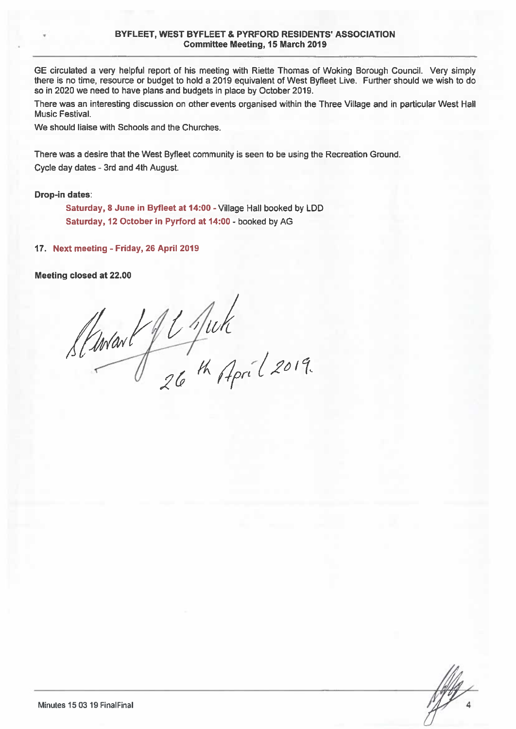#### BYFLEET. WEST BYFLEET & PYRFORD RESIDENTS' ASSOCIATION **Committee Meeting, 15 March 2019**

GE circulated a very helpful report of his meeting with Riette Thomas of Woking Borough Council. Very simply there is no time, resource or budget to hold a 2019 equivalent of West Byfleet Live. Further should we wish to do so in 2020 we need to have plans and budgets in place by October 2019.

There was an interesting discussion on other events organised within the Three Village and in particular West Hall Music Festival.

We should liaise with Schools and the Churches.

There was a desire that the West Byfleet community is seen to be using the Recreation Ground. Cycle day dates - 3rd and 4th August.

#### **Drop-in dates:**

Saturday, 8 June in Byfleet at 14:00 - Village Hall booked by LDD Saturday, 12 October in Pyrford at 14:00 - booked by AG

17. Next meeting - Friday, 26 April 2019

Meeting closed at 22.00

Startart fl Juk<br>26th April 2019.

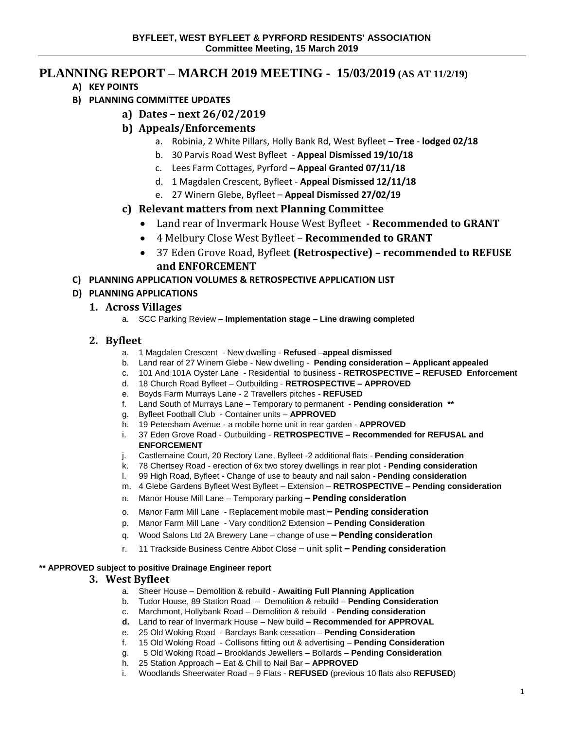# **PLANNING REPORT – MARCH 2019 MEETING - 15/03/2019 (AS AT 11/2/19)**

- **A) KEY POINTS**
- **B) PLANNING COMMITTEE UPDATES**
	- **a) Dates – next 26/02/2019**
	- **b) Appeals/Enforcements**
		- a. Robinia, 2 White Pillars, Holly Bank Rd, West Byfleet **Tree lodged 02/18**
		- b. 30 Parvis Road West Byfleet **Appeal Dismissed 19/10/18**
		- c. Lees Farm Cottages, Pyrford **Appeal Granted 07/11/18**
		- d. 1 Magdalen Crescent, Byfleet **Appeal Dismissed 12/11/18**
		- e. 27 Winern Glebe, Byfleet **Appeal Dismissed 27/02/19**
	- **c) Relevant matters from next Planning Committee** 
		- Land rear of Invermark House West Byfleet **Recommended to GRANT**
		- 4 Melbury Close West Byfleet **Recommended to GRANT**
		- 37 Eden Grove Road, Byfleet **(Retrospective) – recommended to REFUSE and ENFORCEMENT**
- **C) PLANNING APPLICATION VOLUMES & RETROSPECTIVE APPLICATION LIST**

# **D) PLANNING APPLICATIONS**

## **1. Across Villages**

a. SCC Parking Review – **Implementation stage – Line drawing completed** 

# **2. Byfleet**

- a. 1 Magdalen Crescent New dwelling **Refused** –**appeal dismissed**
- b. Land rear of 27 Winern Glebe New dwelling **Pending consideration – Applicant appealed**
- c. 101 And 101A Oyster Lane Residential to business **RETROSPECTIVE REFUSED Enforcement**
- d. 18 Church Road Byfleet Outbuilding **RETROSPECTIVE – APPROVED**
- e. Boyds Farm Murrays Lane 2 Travellers pitches **REFUSED**
- f. Land South of Murrays Lane Temporary to permanent **Pending consideration \*\***
- g. Byfleet Football Club Container units **APPROVED**
- h. 19 Petersham Avenue a mobile home unit in rear garden **APPROVED**
- i. 37 Eden Grove Road Outbuilding **RETROSPECTIVE – Recommended for REFUSAL and ENFORCEMENT**
- j. Castlemaine Court, 20 Rectory Lane, Byfleet -2 additional flats **Pending consideration**
- k. 78 Chertsey Road erection of 6x two storey dwellings in rear plot **Pending consideration**
- l. 99 High Road, Byfleet Change of use to beauty and nail salon **Pending consideration**
- m. 4 Glebe Gardens Byfleet West Byfleet Extension **RETROSPECTIVE – Pending consideration**
- n. Manor House Mill Lane Temporary parking **– Pending consideration**
- o. Manor Farm Mill Lane Replacement mobile mast **– Pending consideration**
- p. Manor Farm Mill Lane Vary condition2 Extension **Pending Consideration**
- q. Wood Salons Ltd 2A Brewery Lane change of use **– Pending consideration**
- r. 11 Trackside Business Centre Abbot Close unit split **– Pending consideration**

### **\*\* APPROVED subject to positive Drainage Engineer report**

### **3. West Byfleet**

- a. Sheer House Demolition & rebuild **Awaiting Full Planning Application**
- b. Tudor House, 89 Station Road Demolition & rebuild **Pending Consideration**
- c. Marchmont, Hollybank Road Demolition & rebuild **Pending consideration**
- **d.** Land to rear of Invermark House New build **– Recommended for APPROVAL**
- e. 25 Old Woking Road Barclays Bank cessation **Pending Consideration**
- f. 15 Old Woking Road Collisons fitting out & advertising **Pending Consideration**
- g. 5 Old Woking Road Brooklands Jewellers Bollards **Pending Consideration**
- h. 25 Station Approach Eat & Chill to Nail Bar **APPROVED**
- i. Woodlands Sheerwater Road 9 Flats **REFUSED** (previous 10 flats also **REFUSED**)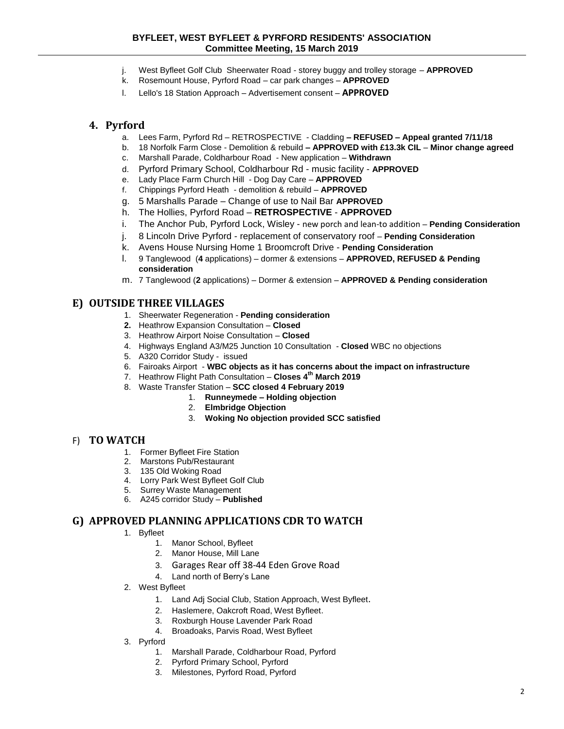#### **BYFLEET, WEST BYFLEET & PYRFORD RESIDENTS' ASSOCIATION Committee Meeting, 15 March 2019**

- j. West Byfleet Golf Club Sheerwater Road storey buggy and trolley storage **APPROVED**
- k. Rosemount House, Pyrford Road car park changes **APPROVED**
- l. Lello's 18 Station Approach Advertisement consent **APPROVED**

### **4. Pyrford**

- a. Lees Farm, Pyrford Rd RETROSPECTIVE Cladding **– REFUSED – Appeal granted 7/11/18**
- b. 18 Norfolk Farm Close Demolition & rebuild **– APPROVED with £13.3k CIL Minor change agreed**
- c. Marshall Parade, Coldharbour Road New application **Withdrawn**
- d. Pyrford Primary School, Coldharbour Rd music facility **APPROVED**
- e. Lady Place Farm Church Hill Dog Day Care **APPROVED**
- f. Chippings Pyrford Heath demolition & rebuild **APPROVED**
- g. 5 Marshalls Parade Change of use to Nail Bar **APPROVED**
- h. The Hollies, Pyrford Road **RETROSPECTIVE APPROVED**
- i. The Anchor Pub, Pyrford Lock, Wisley new porch and lean-to addition **Pending Consideration**
- j. 8 Lincoln Drive Pyrford replacement of conservatory roof **Pending Consideration**
- k. Avens House Nursing Home 1 Broomcroft Drive **Pending Consideration**
- l. 9 Tanglewood (**4** applications) dormer & extensions **APPROVED, REFUSED & Pending consideration**
- m. 7 Tanglewood (**2** applications) Dormer & extension **APPROVED & Pending consideration**

### **E) OUTSIDE THREE VILLAGES**

- 1. Sheerwater Regeneration **Pending consideration**
- **2.** Heathrow Expansion Consultation **Closed**
- 3. Heathrow Airport Noise Consultation **Closed**
- 4. Highways England A3/M25 Junction 10 Consultation **Closed** WBC no objections
- 5. A320 Corridor Study issued
- 6. Fairoaks Airport **WBC objects as it has concerns about the impact on infrastructure**
- 7. Heathrow Flight Path Consultation **Closes 4th March 2019**
- 8. Waste Transfer Station **SCC closed 4 February 2019**
	- 1. **Runneymede – Holding objection**
	- 2. **Elmbridge Objection**
	- 3. **Woking No objection provided SCC satisfied**

### F) **TO WATCH**

- 1. Former Byfleet Fire Station
- 2. Marstons Pub/Restaurant
- 3. 135 Old Woking Road
- 4. Lorry Park West Byfleet Golf Club
- 5. Surrey Waste Management
- 6. A245 corridor Study **Published**

### **G) APPROVED PLANNING APPLICATIONS CDR TO WATCH**

- 1. Byfleet
	- 1. Manor School, Byfleet
	- 2. Manor House, Mill Lane
	- 3. Garages Rear off 38-44 Eden Grove Road
	- 4. Land north of Berry's Lane
- 2. West Byfleet
	- 1. Land Adj Social Club, Station Approach, West Byfleet.
	- 2. Haslemere, Oakcroft Road, West Byfleet.
	- 3. Roxburgh House Lavender Park Road
	- 4. Broadoaks, Parvis Road, West Byfleet
- 3. Pyrford
	- 1. Marshall Parade, Coldharbour Road, Pyrford
	- 2. Pyrford Primary School, Pyrford
	- 3. Milestones, Pyrford Road, Pyrford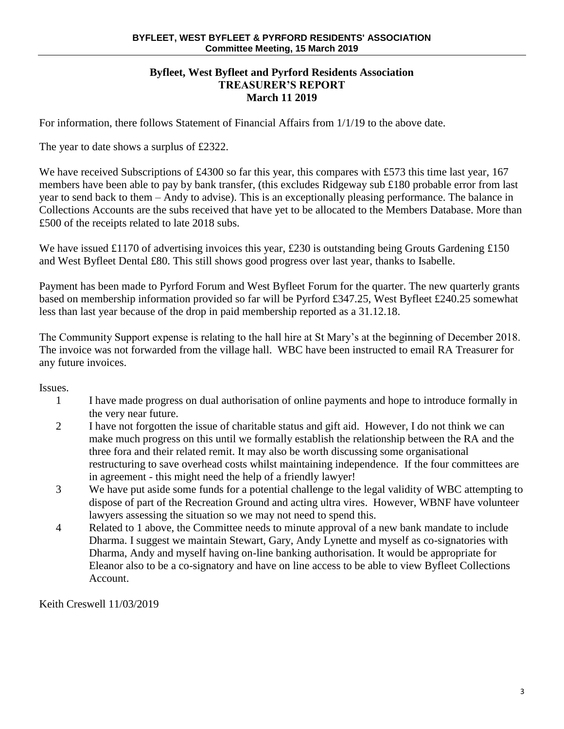### **Byfleet, West Byfleet and Pyrford Residents Association TREASURER'S REPORT March 11 2019**

For information, there follows Statement of Financial Affairs from 1/1/19 to the above date.

The year to date shows a surplus of £2322.

We have received Subscriptions of £4300 so far this year, this compares with £573 this time last year, 167 members have been able to pay by bank transfer, (this excludes Ridgeway sub £180 probable error from last year to send back to them – Andy to advise). This is an exceptionally pleasing performance. The balance in Collections Accounts are the subs received that have yet to be allocated to the Members Database. More than £500 of the receipts related to late 2018 subs.

We have issued £1170 of advertising invoices this year, £230 is outstanding being Grouts Gardening £150 and West Byfleet Dental £80. This still shows good progress over last year, thanks to Isabelle.

Payment has been made to Pyrford Forum and West Byfleet Forum for the quarter. The new quarterly grants based on membership information provided so far will be Pyrford £347.25, West Byfleet £240.25 somewhat less than last year because of the drop in paid membership reported as a 31.12.18.

The Community Support expense is relating to the hall hire at St Mary's at the beginning of December 2018. The invoice was not forwarded from the village hall. WBC have been instructed to email RA Treasurer for any future invoices.

Issues.

- 1 I have made progress on dual authorisation of online payments and hope to introduce formally in the very near future.
- 2 I have not forgotten the issue of charitable status and gift aid. However, I do not think we can make much progress on this until we formally establish the relationship between the RA and the three fora and their related remit. It may also be worth discussing some organisational restructuring to save overhead costs whilst maintaining independence. If the four committees are in agreement - this might need the help of a friendly lawyer!
- 3 We have put aside some funds for a potential challenge to the legal validity of WBC attempting to dispose of part of the Recreation Ground and acting ultra vires. However, WBNF have volunteer lawyers assessing the situation so we may not need to spend this.
- 4 Related to 1 above, the Committee needs to minute approval of a new bank mandate to include Dharma. I suggest we maintain Stewart, Gary, Andy Lynette and myself as co-signatories with Dharma, Andy and myself having on-line banking authorisation. It would be appropriate for Eleanor also to be a co-signatory and have on line access to be able to view Byfleet Collections Account.

Keith Creswell 11/03/2019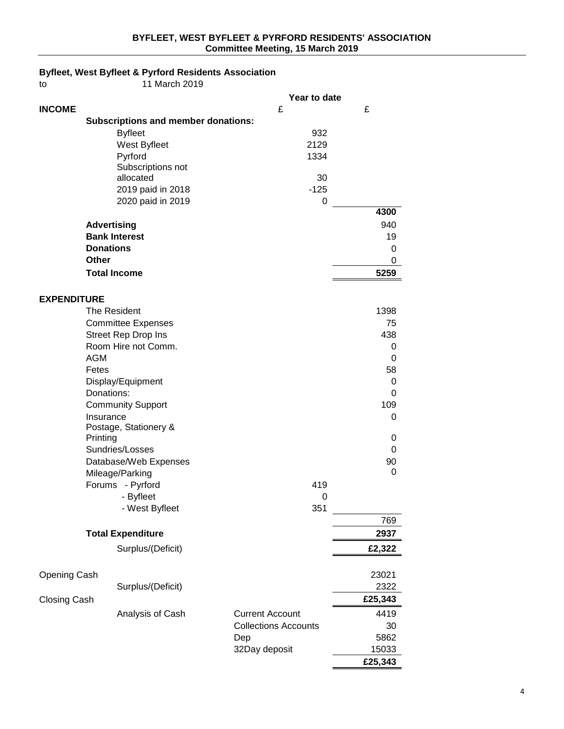#### **Byfleet, West Byfleet & Pyrford Residents Association**

| to                  |              | 11 March 2019                              |                             |         |
|---------------------|--------------|--------------------------------------------|-----------------------------|---------|
|                     |              |                                            | Year to date                |         |
| <b>INCOME</b>       |              |                                            | £                           | £       |
|                     |              | <b>Subscriptions and member donations:</b> |                             |         |
|                     |              | <b>Byfleet</b>                             | 932                         |         |
|                     |              | West Byfleet                               | 2129                        |         |
|                     |              | Pyrford                                    | 1334                        |         |
|                     |              | Subscriptions not                          |                             |         |
|                     |              | allocated                                  | 30                          |         |
|                     |              | 2019 paid in 2018                          | $-125$                      |         |
|                     |              | 2020 paid in 2019                          | 0                           |         |
|                     |              |                                            |                             | 4300    |
|                     |              | <b>Advertising</b>                         |                             | 940     |
|                     |              | <b>Bank Interest</b>                       |                             | 19      |
|                     |              | <b>Donations</b>                           |                             | 0       |
|                     | <b>Other</b> |                                            |                             | 0       |
|                     |              | <b>Total Income</b>                        |                             | 5259    |
|                     |              |                                            |                             |         |
| <b>EXPENDITURE</b>  |              |                                            |                             |         |
|                     |              | The Resident                               |                             | 1398    |
|                     |              | <b>Committee Expenses</b>                  |                             | 75      |
|                     |              | <b>Street Rep Drop Ins</b>                 |                             | 438     |
|                     |              | Room Hire not Comm.                        |                             | 0       |
|                     | <b>AGM</b>   |                                            |                             | 0       |
|                     | Fetes        |                                            |                             | 58      |
|                     |              | Display/Equipment                          |                             | 0       |
|                     | Donations:   |                                            |                             | 0       |
|                     |              | <b>Community Support</b>                   |                             | 109     |
|                     | Insurance    | Postage, Stationery &                      |                             | 0       |
|                     | Printing     |                                            |                             | 0       |
|                     |              | Sundries/Losses                            |                             | 0       |
|                     |              | Database/Web Expenses                      |                             | 90      |
|                     |              | Mileage/Parking                            |                             | 0       |
|                     |              | Forums - Pyrford                           | 419                         |         |
|                     |              | - Byfleet                                  | 0                           |         |
|                     |              | - West Byfleet                             | 351                         |         |
|                     |              |                                            |                             | 769     |
|                     |              | <b>Total Expenditure</b>                   |                             | 2937    |
|                     |              | Surplus/(Deficit)                          |                             | £2,322  |
|                     |              |                                            |                             |         |
|                     |              |                                            |                             | 23021   |
| Opening Cash        |              | Surplus/(Deficit)                          |                             | 2322    |
|                     |              |                                            |                             |         |
| <b>Closing Cash</b> |              |                                            |                             | £25,343 |
|                     |              | Analysis of Cash                           | <b>Current Account</b>      | 4419    |
|                     |              |                                            | <b>Collections Accounts</b> | 30      |
|                     |              |                                            | Dep                         | 5862    |
|                     |              |                                            | 32Day deposit               | 15033   |
|                     |              |                                            |                             | £25,343 |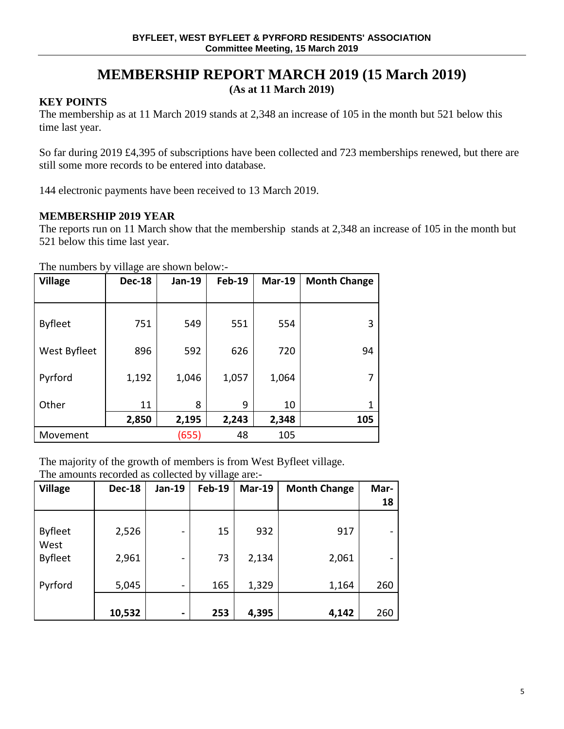# **MEMBERSHIP REPORT MARCH 2019 (15 March 2019)**

**(As at 11 March 2019)**

# **KEY POINTS**

The membership as at 11 March 2019 stands at 2,348 an increase of 105 in the month but 521 below this time last year.

So far during 2019 £4,395 of subscriptions have been collected and 723 memberships renewed, but there are still some more records to be entered into database.

144 electronic payments have been received to 13 March 2019.

# **MEMBERSHIP 2019 YEAR**

The reports run on 11 March show that the membership stands at 2,348 an increase of 105 in the month but 521 below this time last year.

The numbers by village are shown below:-

| 70             |               |               |               |               |                     |  |
|----------------|---------------|---------------|---------------|---------------|---------------------|--|
| <b>Village</b> | <b>Dec-18</b> | <b>Jan-19</b> | <b>Feb-19</b> | <b>Mar-19</b> | <b>Month Change</b> |  |
|                |               |               |               |               |                     |  |
|                |               |               |               |               |                     |  |
| <b>Byfleet</b> | 751           | 549           | 551           | 554           | 3                   |  |
|                |               |               |               |               |                     |  |
| West Byfleet   | 896           | 592           | 626           | 720           | 94                  |  |
|                |               |               |               |               |                     |  |
| Pyrford        | 1,192         | 1,046         | 1,057         | 1,064         | 7                   |  |
|                |               |               |               |               |                     |  |
| Other          | 11            | 8             | 9             | 10            | 1                   |  |
|                | 2,850         | 2,195         | 2,243         | 2,348         | 105                 |  |
| Movement       |               | (655)         | 48            | 105           |                     |  |

The majority of the growth of members is from West Byfleet village.

| <b>Village</b>         | <b>Dec-18</b> | Jan-19                   | $\circ$<br><b>Feb-19</b> | <b>Mar-19</b> | <b>Month Change</b> | Mar-<br>18 |
|------------------------|---------------|--------------------------|--------------------------|---------------|---------------------|------------|
| <b>Byfleet</b><br>West | 2,526         | $\overline{\phantom{0}}$ | 15                       | 932           | 917                 |            |
| <b>Byfleet</b>         | 2,961         | $\overline{\phantom{0}}$ | 73                       | 2,134         | 2,061               |            |
| Pyrford                | 5,045         | $\overline{\phantom{a}}$ | 165                      | 1,329         | 1,164               | 260        |
|                        | 10,532        | $\blacksquare$           | 253                      | 4,395         | 4,142               | 260        |

The amounts recorded as collected by village are:-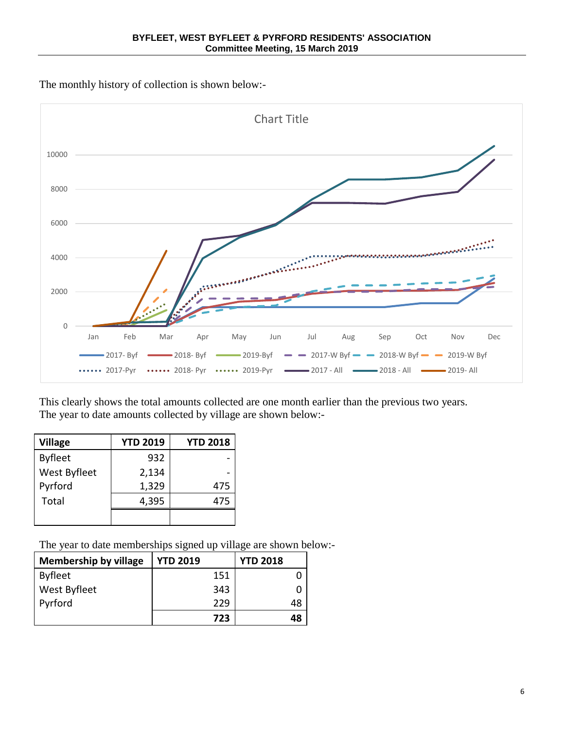The monthly history of collection is shown below:-



This clearly shows the total amounts collected are one month earlier than the previous two years. The year to date amounts collected by village are shown below:-

| <b>Village</b> | <b>YTD 2019</b> | <b>YTD 2018</b> |
|----------------|-----------------|-----------------|
| <b>Byfleet</b> | 932             |                 |
| West Byfleet   | 2,134           |                 |
| Pyrford        | 1,329           | 475             |
| Total          | 4,395           | 475             |
|                |                 |                 |

The year to date memberships signed up village are shown below:-

| <b>Membership by village</b> | <b>YTD 2019</b> | <b>YTD 2018</b> |
|------------------------------|-----------------|-----------------|
| <b>Byfleet</b>               | 151             |                 |
| West Byfleet                 | 343             |                 |
| Pyrford                      | 229             | 48              |
|                              | 723             | 48              |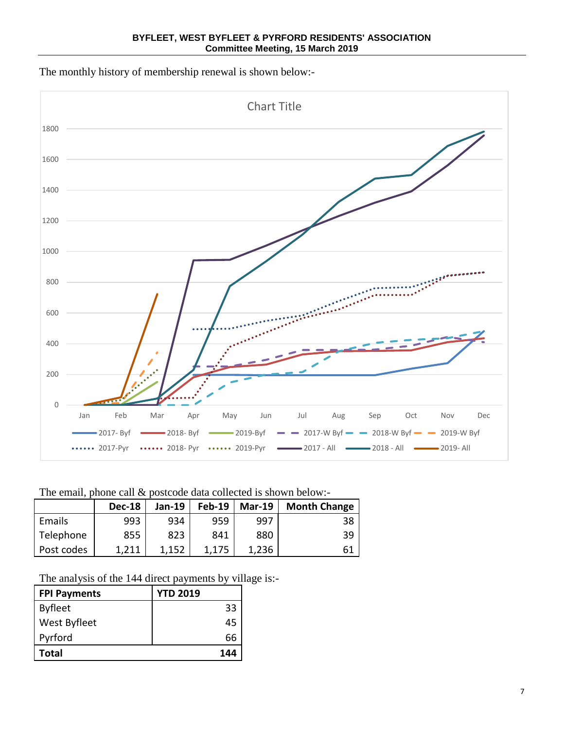**BYFLEET, WEST BYFLEET & PYRFORD RESIDENTS' ASSOCIATION Committee Meeting, 15 March 2019**

The monthly history of membership renewal is shown below:-



The email, phone call  $&$  postcode data collected is shown below:-

|            | <b>Dec-18</b> | <b>Jan-19</b> | <b>Feb-19</b> | <b>Mar-19</b> | <b>Month Change</b> |
|------------|---------------|---------------|---------------|---------------|---------------------|
| Emails     | 993           | 934           | 959           | 997           | 38                  |
| Telephone  | 855           | 823           | 841           | 880           | 39                  |
| Post codes | 1,211         | 1,152         |               | 1,236         | 61                  |

The analysis of the 144 direct payments by village is:-

| <b>FPI Payments</b> | <b>YTD 2019</b> |
|---------------------|-----------------|
| <b>Byfleet</b>      | 33              |
| West Byfleet        | 45              |
| Pyrford             | 66              |
| Total               | 144             |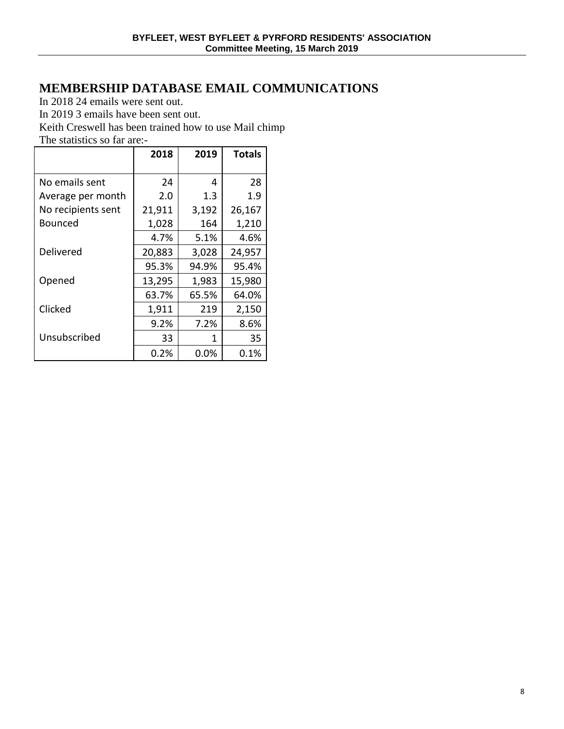# **MEMBERSHIP DATABASE EMAIL COMMUNICATIONS**

In 2018 24 emails were sent out.

In 2019 3 emails have been sent out.

Keith Creswell has been trained how to use Mail chimp

The statistics so far are:-

|                    | 2018   | 2019    | <b>Totals</b> |
|--------------------|--------|---------|---------------|
| No emails sent     | 24     | 4       | 28            |
|                    |        |         |               |
| Average per month  | 2.0    | 1.3     | 1.9           |
| No recipients sent | 21,911 | 3,192   | 26,167        |
| Bounced            | 1,028  | 164     | 1,210         |
|                    | 4.7%   | 5.1%    | 4.6%          |
| Delivered          | 20,883 | 3,028   | 24,957        |
|                    | 95.3%  | 94.9%   | 95.4%         |
| Opened             | 13,295 | 1,983   | 15,980        |
|                    | 63.7%  | 65.5%   | 64.0%         |
| Clicked            | 1,911  | 219     | 2,150         |
|                    | 9.2%   | 7.2%    | 8.6%          |
| Unsubscribed       | 33     | 1       | 35            |
|                    | 0.2%   | $0.0\%$ | 0.1%          |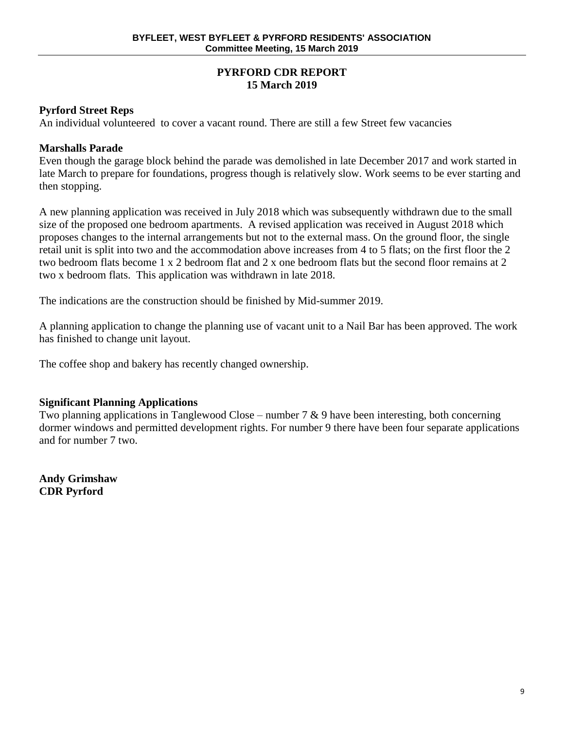# **PYRFORD CDR REPORT 15 March 2019**

# **Pyrford Street Reps**

An individual volunteered to cover a vacant round. There are still a few Street few vacancies

# **Marshalls Parade**

Even though the garage block behind the parade was demolished in late December 2017 and work started in late March to prepare for foundations, progress though is relatively slow. Work seems to be ever starting and then stopping.

A new planning application was received in July 2018 which was subsequently withdrawn due to the small size of the proposed one bedroom apartments. A revised application was received in August 2018 which proposes changes to the internal arrangements but not to the external mass. On the ground floor, the single retail unit is split into two and the accommodation above increases from 4 to 5 flats; on the first floor the 2 two bedroom flats become 1 x 2 bedroom flat and 2 x one bedroom flats but the second floor remains at 2 two x bedroom flats. This application was withdrawn in late 2018.

The indications are the construction should be finished by Mid-summer 2019.

A planning application to change the planning use of vacant unit to a Nail Bar has been approved. The work has finished to change unit layout.

The coffee shop and bakery has recently changed ownership.

# **Significant Planning Applications**

Two planning applications in Tanglewood Close – number  $7 \& 9$  have been interesting, both concerning dormer windows and permitted development rights. For number 9 there have been four separate applications and for number 7 two.

**Andy Grimshaw CDR Pyrford**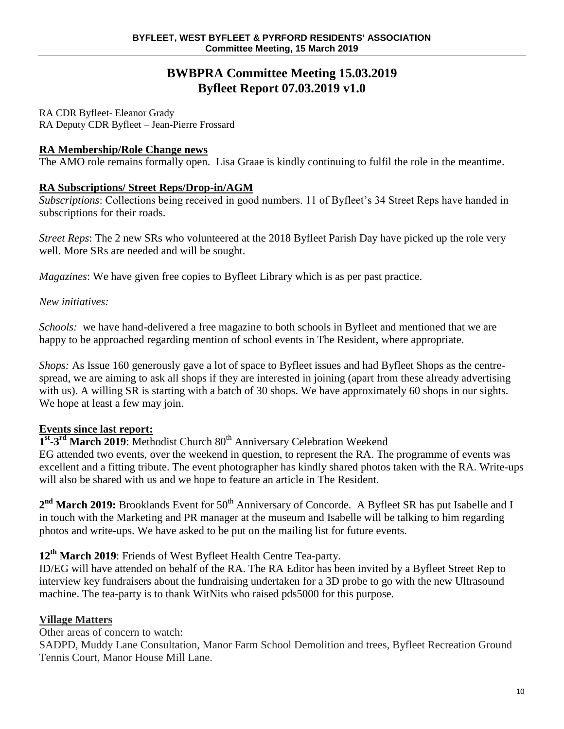# **BWBPRA Committee Meeting 15.03.2019 Byfleet Report 07.03.2019 v1.0**

RA CDR Byfleet- Eleanor Grady RA Deputy CDR Byfleet – Jean-Pierre Frossard

# **RA Membership/Role Change news**

The AMO role remains formally open. Lisa Graae is kindly continuing to fulfil the role in the meantime.

# **RA Subscriptions/ Street Reps/Drop-in/AGM**

*Subscriptions*: Collections being received in good numbers. 11 of Byfleet's 34 Street Reps have handed in subscriptions for their roads.

*Street Reps*: The 2 new SRs who volunteered at the 2018 Byfleet Parish Day have picked up the role very well. More SRs are needed and will be sought.

*Magazines*: We have given free copies to Byfleet Library which is as per past practice.

*New initiatives:*

*Schools:* we have hand-delivered a free magazine to both schools in Byfleet and mentioned that we are happy to be approached regarding mention of school events in The Resident, where appropriate.

*Shops:* As Issue 160 generously gave a lot of space to Byfleet issues and had Byfleet Shops as the centrespread, we are aiming to ask all shops if they are interested in joining (apart from these already advertising with us). A willing SR is starting with a batch of 30 shops. We have approximately 60 shops in our sights. We hope at least a few may join.

# **Events since last report:**

1<sup>st</sup>-3<sup>rd</sup> March 2019: Methodist Church 80<sup>th</sup> Anniversary Celebration Weekend

EG attended two events, over the weekend in question, to represent the RA. The programme of events was excellent and a fitting tribute. The event photographer has kindly shared photos taken with the RA. Write-ups will also be shared with us and we hope to feature an article in The Resident.

2<sup>nd</sup> March 2019: Brooklands Event for 50<sup>th</sup> Anniversary of Concorde. A Byfleet SR has put Isabelle and I in touch with the Marketing and PR manager at the museum and Isabelle will be talking to him regarding photos and write-ups. We have asked to be put on the mailing list for future events.

**12th March 2019**: Friends of West Byfleet Health Centre Tea-party.

ID/EG will have attended on behalf of the RA. The RA Editor has been invited by a Byfleet Street Rep to interview key fundraisers about the fundraising undertaken for a 3D probe to go with the new Ultrasound machine. The tea-party is to thank WitNits who raised pds5000 for this purpose.

# **Village Matters**

Other areas of concern to watch:

SADPD, Muddy Lane Consultation, Manor Farm School Demolition and trees, Byfleet Recreation Ground Tennis Court, Manor House Mill Lane.